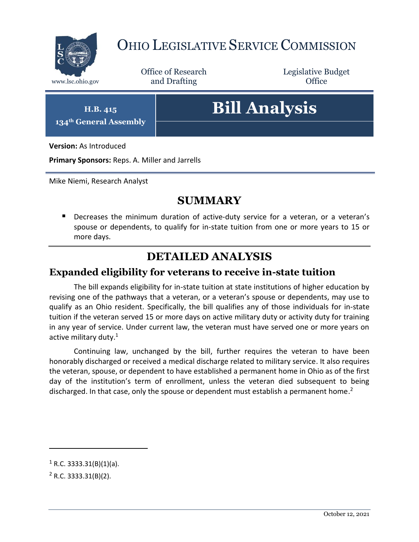

## OHIO LEGISLATIVE SERVICE COMMISSION

Office of Research www.lsc.ohio.gov **and Drafting Office** 

Legislative Budget

**H.B. 415 134th General Assembly**

# **Bill Analysis**

**Version:** As Introduced

**Primary Sponsors:** Reps. A. Miller and Jarrells

Mike Niemi, Research Analyst

### **SUMMARY**

**Decreases the minimum duration of active-duty service for a veteran, or a veteran's** spouse or dependents, to qualify for in-state tuition from one or more years to 15 or more days.

## **DETAILED ANALYSIS**

#### **Expanded eligibility for veterans to receive in-state tuition**

The bill expands eligibility for in-state tuition at state institutions of higher education by revising one of the pathways that a veteran, or a veteran's spouse or dependents, may use to qualify as an Ohio resident. Specifically, the bill qualifies any of those individuals for in-state tuition if the veteran served 15 or more days on active military duty or activity duty for training in any year of service. Under current law, the veteran must have served one or more years on active military duty.<sup>1</sup>

Continuing law, unchanged by the bill, further requires the veteran to have been honorably discharged or received a medical discharge related to military service. It also requires the veteran, spouse, or dependent to have established a permanent home in Ohio as of the first day of the institution's term of enrollment, unless the veteran died subsequent to being discharged. In that case, only the spouse or dependent must establish a permanent home.<sup>2</sup>

 $\overline{a}$ 

 $1$  R.C. 3333.31(B)(1)(a).

 $2$  R.C. 3333.31(B)(2).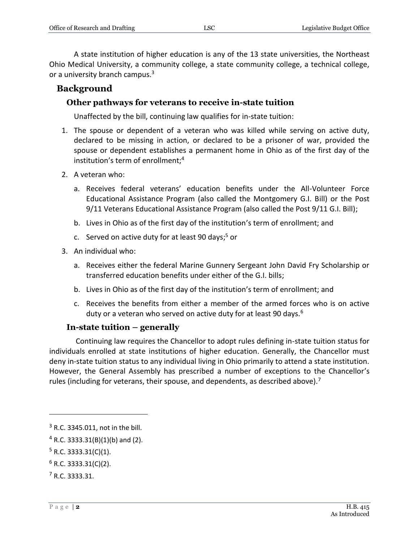A state institution of higher education is any of the 13 state universities, the Northeast Ohio Medical University, a community college, a state community college, a technical college, or a university branch campus.<sup>3</sup>

#### **Background**

#### **Other pathways for veterans to receive in-state tuition**

Unaffected by the bill, continuing law qualifies for in-state tuition:

- 1. The spouse or dependent of a veteran who was killed while serving on active duty, declared to be missing in action, or declared to be a prisoner of war, provided the spouse or dependent establishes a permanent home in Ohio as of the first day of the institution's term of enrollment:<sup>4</sup>
- 2. A veteran who:
	- a. Receives federal veterans' education benefits under the All-Volunteer Force Educational Assistance Program (also called the Montgomery G.I. Bill) or the Post 9/11 Veterans Educational Assistance Program (also called the Post 9/11 G.I. Bill);
	- b. Lives in Ohio as of the first day of the institution's term of enrollment; and
	- c. Served on active duty for at least 90 days; <sup>5</sup> or
- 3. An individual who:
	- a. Receives either the federal Marine Gunnery Sergeant John David Fry Scholarship or transferred education benefits under either of the G.I. bills;
	- b. Lives in Ohio as of the first day of the institution's term of enrollment; and
	- c. Receives the benefits from either a member of the armed forces who is on active duty or a veteran who served on active duty for at least 90 days.<sup>6</sup>

#### **In-state tuition – generally**

Continuing law requires the Chancellor to adopt rules defining in-state tuition status for individuals enrolled at state institutions of higher education. Generally, the Chancellor must deny in-state tuition status to any individual living in Ohio primarily to attend a state institution. However, the General Assembly has prescribed a number of exceptions to the Chancellor's rules (including for veterans, their spouse, and dependents, as described above).<sup>7</sup>

 $\overline{a}$ 

<sup>3</sup> R.C. 3345.011, not in the bill.

 $4$  R.C. 3333.31(B)(1)(b) and (2).

 $5$  R.C. 3333.31(C)(1).

 $6$  R.C. 3333.31(C)(2).

<sup>7</sup> R.C. 3333.31.